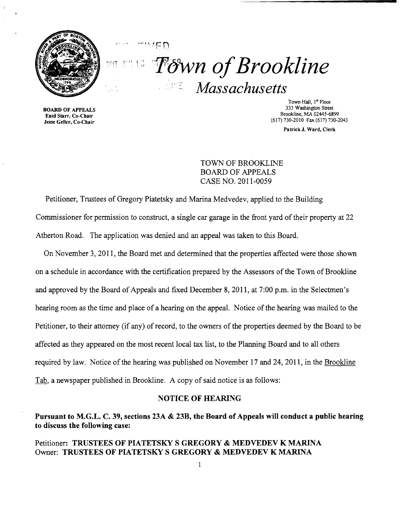

 $!$  .  $\overline{D}$ **Town of Brookline** *Massachusetts* 

 $\ldots$  i l l L

Enid Starr, Co-Chair

Town Hall, 1<sup>st</sup> Floor<br>333 Washington Street 333 Washington Street 333 Washington Street 333 Washington Street<br>
Find Starr, Co. Chair  $\frac{1}{2}$  Jesse Geller, Co-Chair (617) 730-2010 Fax (617) 730-2010 Fax (617) 730-2013

Patrick J. Ward, Clerk

TOWN OF BROOKLINE BOARD OF APPEALS CASE NO. 2011-0059

Petitioner, Trustees of Gregory Piatetsky and Marina Medvedev, applied to the Building Commissioner for permission to construct, a single car garage in the front yard of their property at 22 Atherton Road. The application was denied and an appeal was taken to this Board.

On November 3, 2011, the Board met and determined that the properties affected were those shown on a schedule in accordance with the certification prepared by the Assessors of the Town of Brookline and approved by the Board of Appeals and fixed December 8, 2011, at 7:00 p.m. in the Selectmen's hearing room as the time and place of a hearing on the appeal. Notice of the hearing was mailed to the Petitioner, to their attorney (if any) of record, to the owners of the properties deemed by the Board to be affected as they appeared on the most recent local tax list, to the Planning Board and to all others required by law. Notice of the hearing was published on November 17 and 24, 2011, in the Brookline Tab, a newspaper published in Brookline. A copy of said notice is as follows:

## NOTICE OF HEARING

# Pursuant to M.G.L. C. 39, sections 23A & 23B, the Board of Appeals will conduct a public hearing to discuss the following case:

#### Petitioner: TRUSTEES OF PIATETSKY S GREGORY & MEDVEDEV K MARINA Owner: TRUSTEES OF PIATETSKY S GREGORY & MEDVEDEV K MARINA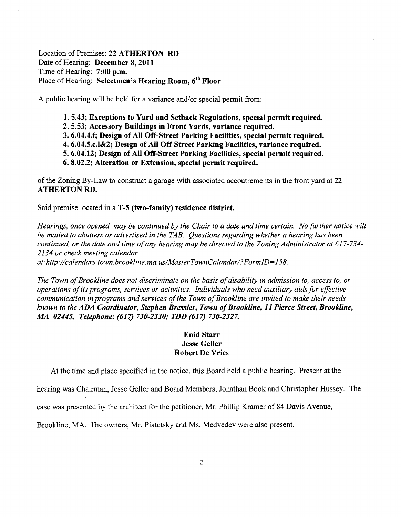Location of Premises: **22 ATHERTON RD**  Date of Hearing: **December 8, 2011**  Time of Hearing: **7:00 p.m.**  Place of Hearing: **Selectmen's Hearing Room, 6th Floor** 

A public hearing will be held for a variance and/or special permit from:

- **1. 5.43; Exceptions to Yard and Setback Regulations, special permit required.**
- **2.5.53; Accessory Buildings in Front Yards, variance required.**
- **3. 6.04.4.f; Design of All Off-Street Parking Facilities, special permit required.**
- **4.** 6.04~5.c.I&2; **Design of All Off-Street Parking Facilities, variance required.**
- **5.6.04.12; Design of All Off-Street Parking Facilities, special permit required.**
- **6. 8.02.2; Alteration or Extension, special permit required.**

of the Zoning By-Law to construct a garage with associated accoutrements in the front yard at **22**  ATHERTON RD.

Said premise located in a **T-5 (two-family) residence district.** 

*Hearings, once opened, may be continued by the Chair to a date and time certain. No further notice will be mailed to abutters or advertised in the TAB. Questions regarding whether a hearing has been continued, or the date and time ofany hearing may be directed to the Zoning Administrator at* 617-734 *2134 or check meeting calendar* 

*at:http://calendars.town. brookline. ma. uslMasterTownCalandarl?FormID=158.* 

The Town of Brookline does not discriminate on the basis of disability in admission to, access to, or *operations ofits programs, services or activities. Individuals who need auxiliary aids for effective communication in programs and services of the Town of Brookline are invited to make their needs known to the ADA Coordinator, Stephen Bressler, Town ofBrookline,* **11** *Pierce Street, Brookline, MA 02445. Telephone:* **(617)** *730-2330,. TDD* **(617)** *730-2327.* 

## **Enid Starr Jesse Geller Robert De Vries**

At the time and place specified in the notice, this Board held a public hearing. Present at the

hearing was Chairman, Jesse Geller and Board Members, Jonathan Book and Christopher Hussey. The

case was presented by the architect for the petitioner, Mr. Phillip Kramer of 84 Davis Avenue,

Brookline, MA. The owners, Mr. Piatetsky and Ms. Medvedev were also present.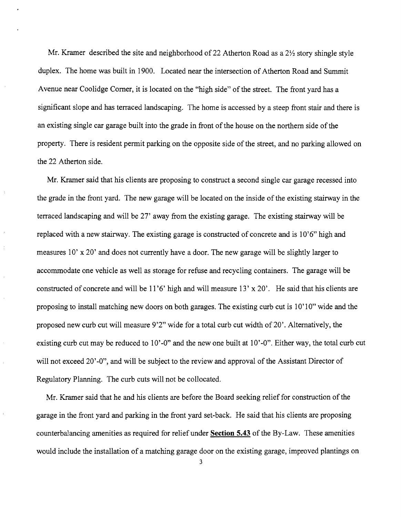Mr. Kramer described the site and neighborhood of 22 Atherton Road as a  $2\frac{1}{2}$  story shingle style duplex. The home was built in 1900. Located near the intersection of Atherton Road and Summit Avenue near Coolidge Comer, it is located on the "high side" of the street. The front yard has a significant slope and has terraced landscaping. The home is accessed by a steep front stair and there is an existing single car garage built into the grade in front of the house on the northern side of the property. There is resident permit parking on the opposite side of the street, and no parking allowed on the 22 Atherton side.

Mr. Kramer said that his clients are proposing to construct a second single car garage recessed into the grade in the front yard. The new garage will be located on the inside of the existing stairway in the terraced landscaping and will be 27' away from the existing garage. The existing stairway will be replaced with a new stairway. The existing garage is constructed of concrete and is 10'6" high and measures 10' x 20' and does not currently have a door. The new garage will be slightly larger to accommodate one vehicle as well as storage for refuse and recycling containers. The garage will be constructed of concrete and will be 11'6' high and will measure 13' x 20'. He said that his clients are proposing to install matching new doors on both garages. The existing curb cut is 10' 10" wide and the proposed new curb cut will measure 9'2" wide for a total curb cut width of 20'. Alternatively, the existing curb cut may be reduced to 10'-0" and the new one built at 10'-0". Either way, the total curb cut will not exceed 20'-0", and will be subject to the review and approval of the Assistant Director of Regulatory Planning. The curb cuts will not be collocated.

Mr. Kramer said that he and his clients are before the Board seeking relief for construction of the garage in the front yard and parking in the front yard set-back. He said that his clients are proposing counterbalancing amenities as required for relief under **Section 5.43** of the By-Law. These amenities would include the installation of a matching garage door on the existing garage, improved plantings on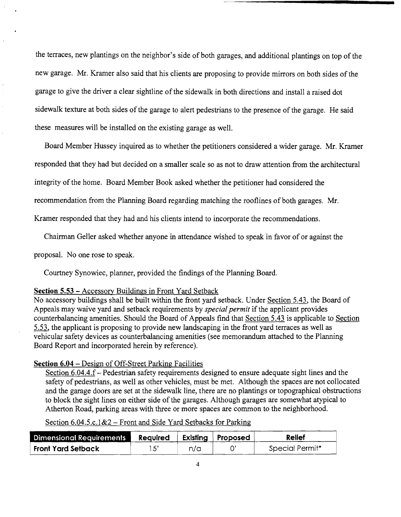the terraces, new plantings on the neighbor's side of both garages, and additional plantings on top of the new garage. Mr. Kramer also said that his clients are proposing to provide mirrors on both sides of the garage to give the driver a clear sightline of the sidewalk in both directions and install a raised dot sidewalk texture at both sides of the garage to alert pedestrians to the presence of the garage. He said these measures will be installed on the existing garage as well.

Board Member Hussey inquired as to whether the petitioners considered a wider garage. Mr. Kramer responded that they had but decided on a smaller scale so as not to draw attention from the architectural integrity of the home. Board Member Book asked whether the petitioner had considered the

recommendation from the Planning Board regarding matching the rooflines of both garages. Mr.

Kramer responded that they had and his clients intend to incorporate the recommendations.

Chairman Geller asked whether anyone in attendance wished to speak in favor of or against the

proposal. No one rose to speak.

Courtney Synowiec, planner, provided the findings of the Planning Board.

## **Section 5.53** - Accessory Buildings in Front Yard Setback

No accessory buildings shall be built within the front yard setback. Under Section 5.43, the Board of Appeals may waive yard and setback requirements by *special permit* if the applicant provides counterbalancing amenities. Should the Board of Appeals find that Section 5.43 is applicable to Section 5.53, the applicant is proposing to provide new landscaping in the front yard terraces as well as vehicular safety devices as counterbalancing amenities (see memorandum attached to the Planning Board Report and incorporated herein by reference).

## **Section 6.04** - Design of Off-Street Parking Facilities

Section 6.04.4.f – Pedestrian safety requirements designed to ensure adequate sight lines and the safety of pedestrians, as well as other vehicles, must be met. Although the spaces are not collocated and the garage doors are set at the sidewalk line, there are no plantings or topographical obstructions to block the sight lines on either side of the garages. Although garages are somewhat atypical to Atherton Road, parking areas with three or more spaces are common to the neighborhood.

Section  $6.04.5.c.1\&2$  – Front and Side Yard Setbacks for Parking

| <b>Dimensional Requirements</b> | Required |     | Existing   Proposed | <b>Relief</b>   |
|---------------------------------|----------|-----|---------------------|-----------------|
| Front Yard Setback              |          | n/a |                     | Special Permit* |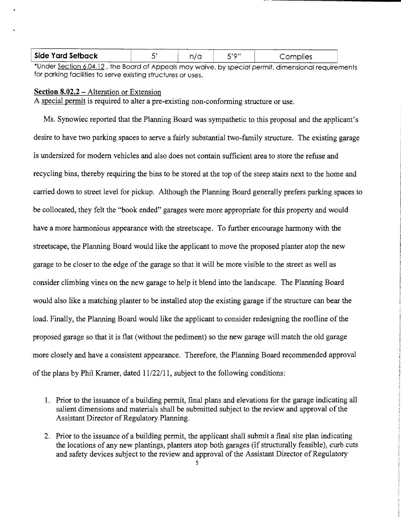| <b>Side Yard Setback</b> | n/a | יימי־ | Complies |  |
|--------------------------|-----|-------|----------|--|
|                          |     |       |          |  |

\*Under Section 6.04.12 , the Board of Appeals may waive, by special permit, dimensional requirements for parking facilities to serve existing structures or uses.

#### **Section 8.02.2** – Alteration or Extension

A special permit is required to alter a pre-existing non-conforming structure or use.

Ms. Synowiec reported that the Planning Board was sympathetic to this proposal and the applicant's desire to have two parking spaces to serve a fairly substantial two-family structure. The existing garage is undersized for modem vehicles and also does not contain sufficient area to store the refuse and recycling bins, thereby requiring the bins to be stored at the top of the steep stairs next to the home and carried down to street level for pickup. Although the Planning Board generally prefers parking spaces to be collocated, they felt the "book ended" garages were more appropriate for this property and would have a more harmonious appearance with the streetscape. To further encourage harmony with the streetscape, the Planning Board would like the applicant to move the proposed planter atop the new garage to be closer to the edge of the garage so that it will be more visible to the street as well as consider climbing vines on the new garage to help it blend into the landscape. The Planning Board would also like a matching planter to be installed atop the existing garage if the structure can bear the load. Finally, the Planning Board would like the applicant to consider redesigning the roofline of the proposed garage so that it is flat (without the pediment) so the new garage will match the old garage more closely and have a consistent appearance. Therefore, the Planning Board recommended approval of the plans by Phil Kramer, dated 11/22/11, subject to the following conditions:

- 1. Prior to the issuance of a building permit, final plans and elevations for the garage indicating all salient dimensions and materials shall be submitted subject to the review and approval of the Assistant Director of Regulatory Planning.
- 2. Prior to the issuance of a building permit, the applicant shall submit a final site plan indicating the locations of any new plantings, planters atop both garages (if structurally feasible), curb cuts and safety devices subject to the review and approval of the Assistant Director of Regulatory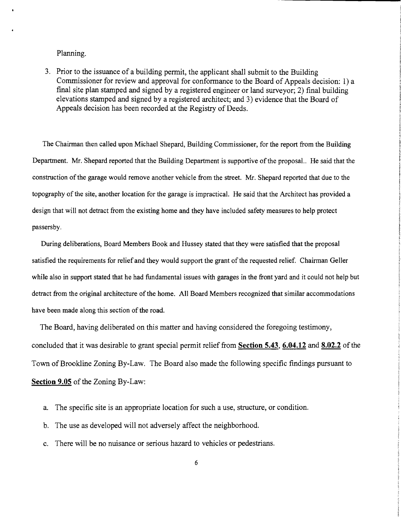#### Planning.

3. Prior to the issuance of a building permit, the applicant shall submit to the Building Commissioner for review and approval for conformance to the Board of Appeals decision: I) a final site plan stamped and signed by a registered engineer or land surveyor; 2) final building elevations stamped and signed by a registered architect; and 3) evidence that the Board of Appeals decision has been recorded at the Registry of Deeds.

The Chairman then called upon Michael Shepard, Building Commissioner, for the report from the Building Department. Mr. Shepard reported that the Building Department is supportive of the proposal.. He said that the construction of the garage would remove another vehicle from the street. Mr. Shepard reported that due to the topography of the site, another location for the garage is impractical. He said that the Architect has provided a design that will not detract from the existing home and they have included safety measures to help protect passersby.

During deliberations, Board Members Book and Hussey stated that they were satisfied that the proposal satisfied the requirements for relief and they would support the grant of the requested relief. Chairman Geller while also in support stated that he had fundamental issues with garages in the front yard and it could not help but detract from the original architecture of the home. All Board Members recognized that similar accommodations have been made along this section of the road.

The Board, having deliberated on this matter and having considered the foregoing testimony, concluded that it was desirable to grant special permit relief from **Section 5.43, 6.04.12 and 8.02.2** of the Town of Brookline Zoning By-Law. The Board also made the following specific findings pursuant to **Section 9.05** of the Zoning By-Law:

- a. The specific site is an appropriate location for such a use, structure, or condition.
- b. The use as developed will not adversely affect the neighborhood.
- c. There will be no nuisance or serious hazard to vehicles or pedestrians.